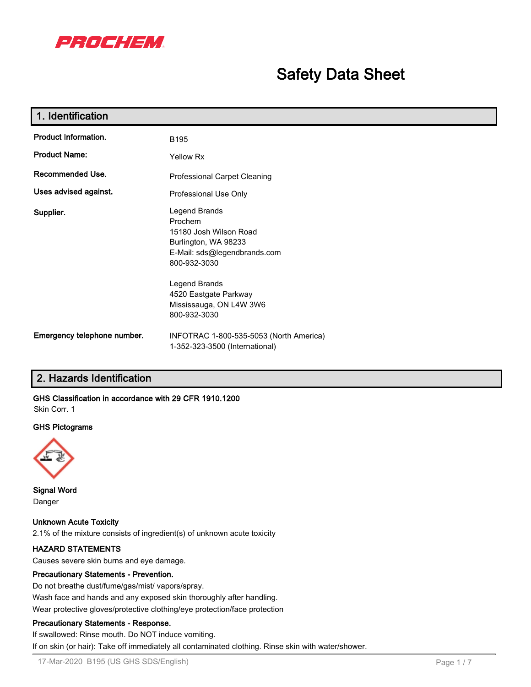

# **Safety Data Sheet**

| 1. Identification           |                                                                                                                            |
|-----------------------------|----------------------------------------------------------------------------------------------------------------------------|
| <b>Product Information.</b> | B <sub>195</sub>                                                                                                           |
| <b>Product Name:</b>        | <b>Yellow Rx</b>                                                                                                           |
| Recommended Use.            | <b>Professional Carpet Cleaning</b>                                                                                        |
| Uses advised against.       | Professional Use Only                                                                                                      |
| Supplier.                   | Legend Brands<br>Prochem<br>15180 Josh Wilson Road<br>Burlington, WA 98233<br>E-Mail: sds@legendbrands.com<br>800-932-3030 |
|                             | Legend Brands<br>4520 Eastgate Parkway<br>Mississauga, ON L4W 3W6<br>800-932-3030                                          |
| Emergency telephone number. | INFOTRAC 1-800-535-5053 (North America)<br>1-352-323-3500 (International)                                                  |

# **2. Hazards Identification**

#### **GHS Classification in accordance with 29 CFR 1910.1200** Skin Corr. 1

# **GHS Pictograms**



**Signal Word** Danger

**Unknown Acute Toxicity** 2.1% of the mixture consists of ingredient(s) of unknown acute toxicity

## **HAZARD STATEMENTS**

Causes severe skin burns and eye damage.

## **Precautionary Statements - Prevention.**

Do not breathe dust/fume/gas/mist/ vapors/spray. Wash face and hands and any exposed skin thoroughly after handling. Wear protective gloves/protective clothing/eye protection/face protection

## **Precautionary Statements - Response.**

If swallowed: Rinse mouth. Do NOT induce vomiting.

If on skin (or hair): Take off immediately all contaminated clothing. Rinse skin with water/shower.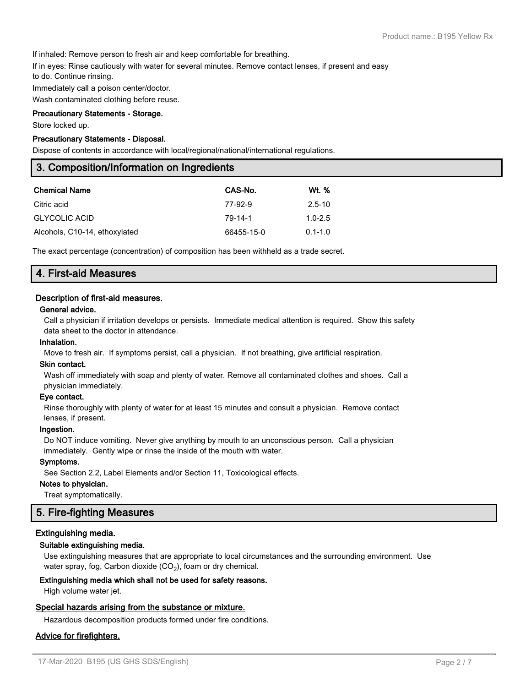If inhaled: Remove person to fresh air and keep comfortable for breathing.

If in eyes: Rinse cautiously with water for several minutes. Remove contact lenses, if present and easy

to do. Continue rinsing.

Immediately call a poison center/doctor.

Wash contaminated clothing before reuse.

#### **Precautionary Statements - Storage.**

Store locked up.

#### **Precautionary Statements - Disposal.**

Dispose of contents in accordance with local/regional/national/international regulations.

# **3. Composition/Information on Ingredients**

| <b>Chemical Name</b>          | CAS-No.    | Wt. %       |
|-------------------------------|------------|-------------|
| Citric acid                   | 77-92-9    | $2.5 - 10$  |
| <b>GLYCOLIC ACID</b>          | 79-14-1    | $1.0 - 2.5$ |
| Alcohols, C10-14, ethoxylated | 66455-15-0 | $0.1 - 1.0$ |

The exact percentage (concentration) of composition has been withheld as a trade secret.

|--|

## **Description of first-aid measures.**

#### **General advice.**

Call a physician if irritation develops or persists. Immediate medical attention is required. Show this safety data sheet to the doctor in attendance.

#### **Inhalation.**

Move to fresh air. If symptoms persist, call a physician. If not breathing, give artificial respiration.

# **Skin contact.**

Wash off immediately with soap and plenty of water. Remove all contaminated clothes and shoes. Call a physician immediately.

#### **Eye contact.**

Rinse thoroughly with plenty of water for at least 15 minutes and consult a physician. Remove contact lenses, if present.

#### **Ingestion.**

Do NOT induce vomiting. Never give anything by mouth to an unconscious person. Call a physician immediately. Gently wipe or rinse the inside of the mouth with water.

#### **Symptoms.**

See Section 2.2, Label Elements and/or Section 11, Toxicological effects.

#### **Notes to physician.**

Treat symptomatically.

# **5. Fire-fighting Measures**

#### **Extinguishing media.**

#### **Suitable extinguishing media.**

Use extinguishing measures that are appropriate to local circumstances and the surrounding environment. Use water spray, fog, Carbon dioxide (CO<sub>2</sub>), foam or dry chemical.

#### **Extinguishing media which shall not be used for safety reasons.**

High volume water jet.

# **Special hazards arising from the substance or mixture.**

Hazardous decomposition products formed under fire conditions.

#### **Advice for firefighters.**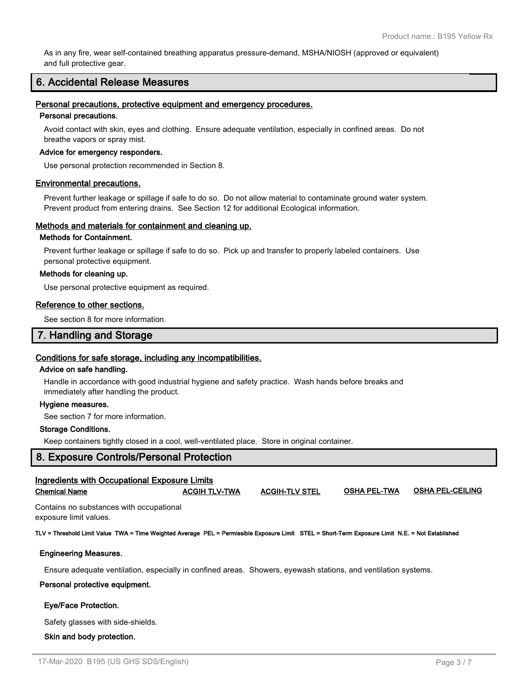As in any fire, wear self-contained breathing apparatus pressure-demand, MSHA/NIOSH (approved or equivalent) and full protective gear.

# **6. Accidental Release Measures**

#### **Personal precautions, protective equipment and emergency procedures.**

#### **Personal precautions.**

Avoid contact with skin, eyes and clothing. Ensure adequate ventilation, especially in confined areas. Do not breathe vapors or spray mist.

#### **Advice for emergency responders.**

Use personal protection recommended in Section 8.

#### **Environmental precautions.**

Prevent further leakage or spillage if safe to do so. Do not allow material to contaminate ground water system. Prevent product from entering drains. See Section 12 for additional Ecological information.

#### **Methods and materials for containment and cleaning up.**

#### **Methods for Containment.**

Prevent further leakage or spillage if safe to do so. Pick up and transfer to properly labeled containers. Use personal protective equipment.

#### **Methods for cleaning up.**

Use personal protective equipment as required.

#### **Reference to other sections.**

See section 8 for more information.

# **7. Handling and Storage**

## **Conditions for safe storage, including any incompatibilities.**

#### **Advice on safe handling.**

Handle in accordance with good industrial hygiene and safety practice. Wash hands before breaks and immediately after handling the product.

#### **Hygiene measures.**

See section 7 for more information.

# **Storage Conditions.**

Keep containers tightly closed in a cool, well-ventilated place. Store in original container.

# **8. Exposure Controls/Personal Protection**

| Ingredients with Occupational Exposure Limits<br><b>OSHA PEL-CEILING</b><br><b>OSHA PEL-TWA</b><br><b>ACGIH-TLV STEL</b><br><b>Chemical Name</b><br><b>ACGIH TLV-TWA</b> |                                          |  |  |  |  |  |  |  |  |
|--------------------------------------------------------------------------------------------------------------------------------------------------------------------------|------------------------------------------|--|--|--|--|--|--|--|--|
| exposure limit values.                                                                                                                                                   | Contains no substances with occupational |  |  |  |  |  |  |  |  |
| TLV = Threshold Limit Value TWA = Time Weighted Average PEL = Permissible Exposure Limit STEL = Short-Term Exposure Limit N.E. = Not Established                         |                                          |  |  |  |  |  |  |  |  |
| <b>Engineering Measures.</b>                                                                                                                                             |                                          |  |  |  |  |  |  |  |  |
| Ensure adequate ventilation, especially in confined areas. Showers, eyewash stations, and ventilation systems.                                                           |                                          |  |  |  |  |  |  |  |  |

#### **Personal protective equipment.**

#### **Eye/Face Protection.**

Safety glasses with side-shields.

 **Skin and body protection.**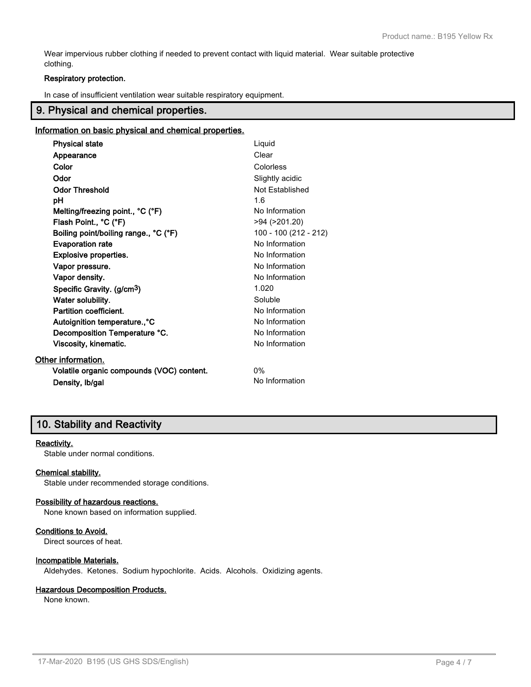Wear impervious rubber clothing if needed to prevent contact with liquid material. Wear suitable protective clothing.

## **Respiratory protection.**

In case of insufficient ventilation wear suitable respiratory equipment.

# **9. Physical and chemical properties.**

#### **Information on basic physical and chemical properties.**

| <b>Physical state</b>                     | Liquid                |
|-------------------------------------------|-----------------------|
| Appearance                                | Clear                 |
| Color                                     | Colorless             |
| Odor                                      | Slightly acidic       |
| <b>Odor Threshold</b>                     | Not Established       |
| рH                                        | 1.6                   |
| Melting/freezing point., °C (°F)          | No Information        |
| Flash Point., °C (°F)                     | $>94$ ( $>201.20$ )   |
| Boiling point/boiling range., °C (°F)     | 100 - 100 (212 - 212) |
| <b>Evaporation rate</b>                   | No Information        |
| <b>Explosive properties.</b>              | No Information        |
| Vapor pressure.                           | No Information        |
| Vapor density.                            | No Information        |
| Specific Gravity. (g/cm <sup>3</sup> )    | 1.020                 |
| Water solubility.                         | Soluble               |
| Partition coefficient.                    | No Information        |
| Autoignition temperature., °C             | No Information        |
| Decomposition Temperature °C.             | No Information        |
| Viscosity, kinematic.                     | No Information        |
| Other information.                        |                       |
| Volatile organic compounds (VOC) content. | 0%                    |
| Density, Ib/gal                           | No Information        |

# **10. Stability and Reactivity**

#### **Reactivity.**

Stable under normal conditions.

#### **Chemical stability.**

Stable under recommended storage conditions.

#### **Possibility of hazardous reactions.**

None known based on information supplied.

# **Conditions to Avoid.**

Direct sources of heat.

#### **Incompatible Materials.**

Aldehydes. Ketones. Sodium hypochlorite. Acids. Alcohols. Oxidizing agents.

#### **Hazardous Decomposition Products.**

None known.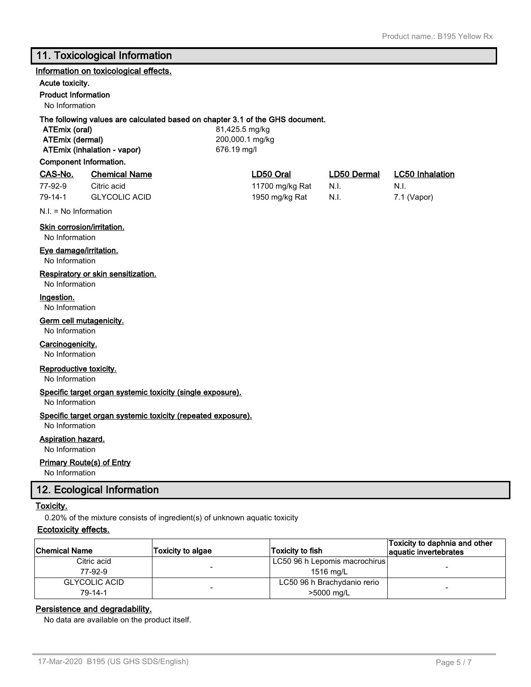# **11. Toxicological Information**

#### **Information on toxicological effects.**

# **Acute toxicity.**

**Product Information**

No Information

# **The following values are calculated based on chapter 3.1 of the GHS document.**

**ATEmix (oral)** 81,425.5 mg/kg **ATEmix (dermal)** 200,000.1 mg/kg **ATEmix (inhalation - vapor)** 676.19 mg/l

## **Component Information.**

# **CAS-No. Chemical Name LD50 Oral LD50 Dermal LC50 Inhalation**

| 77-92-9 | Citric acid          |
|---------|----------------------|
| 79-14-1 | <b>GLYCOLIC ACID</b> |

11700 mg/kg Rat N.I. N.I. 1950 mg/kg Rat  $N.I.$  7.1 (Vapor)

N.I. = No Information

# **Skin corrosion/irritation.**

No Information

# **Eye damage/irritation.**

No Information

# **Respiratory or skin sensitization.**

No Information

## **Ingestion.**

No Information

## **Germ cell mutagenicity.**

No Information

# **Carcinogenicity.**

No Information

## **Reproductive toxicity.**

No Information

#### **Specific target organ systemic toxicity (single exposure).**

No Information

## **Specific target organ systemic toxicity (repeated exposure).**

No Information

# **Aspiration hazard.**

No Information

# **Primary Route(s) of Entry**

No Information

# **12. Ecological Information**

#### **Toxicity.**

0.20% of the mixture consists of ingredient(s) of unknown aquatic toxicity

# **Ecotoxicity effects.**

| <b>Chemical Name</b> | <b>Toxicity to algae</b> | Toxicity to fish              | Toxicity to daphnia and other<br>aquatic invertebrates |
|----------------------|--------------------------|-------------------------------|--------------------------------------------------------|
| Citric acid          |                          | LC50 96 h Lepomis macrochirus |                                                        |
| 77-92-9              | $\overline{\phantom{a}}$ | 1516 ma/L                     | -                                                      |
| <b>GLYCOLIC ACID</b> |                          | LC50 96 h Brachydanio rerio   |                                                        |
| 79-14-1              |                          | >5000 ma/L                    | -                                                      |

## **Persistence and degradability.**

No data are available on the product itself.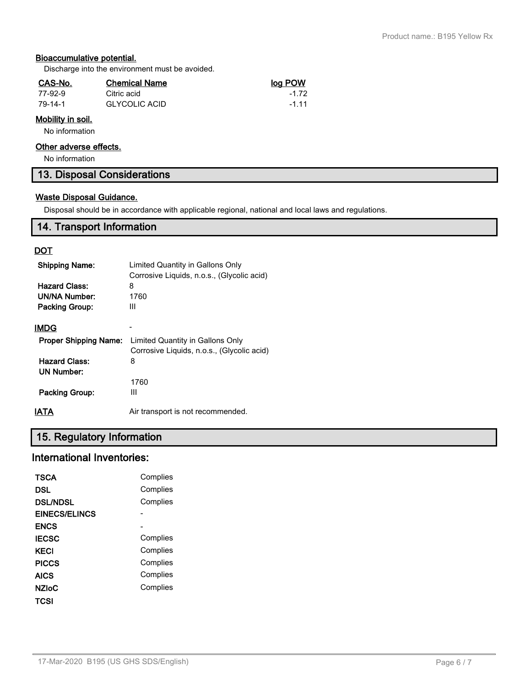# **Bioaccumulative potential.**

Discharge into the environment must be avoided.

| CAS-No. | <b>Chemical Name</b> | log POW |
|---------|----------------------|---------|
| 77-92-9 | Citric acid          | -1 72   |
| 79-14-1 | <b>GLYCOLIC ACID</b> | -1 11   |

# **Mobility in soil.**

No information

# **Other adverse effects.**

No information

**13. Disposal Considerations**

# **Waste Disposal Guidance.**

Disposal should be in accordance with applicable regional, national and local laws and regulations.

# **14. Transport Information**

# **DOT**

| <b>Shipping Name:</b><br><b>Hazard Class:</b><br>UN/NA Number:<br>Packing Group: | Limited Quantity in Gallons Only<br>Corrosive Liquids, n.o.s., (Glycolic acid)<br>8<br>1760<br>Ш |
|----------------------------------------------------------------------------------|--------------------------------------------------------------------------------------------------|
| IMDG                                                                             |                                                                                                  |
| <b>Proper Shipping Name:</b>                                                     | Limited Quantity in Gallons Only<br>Corrosive Liquids, n.o.s., (Glycolic acid)                   |
| <b>Hazard Class:</b><br>UN Number:                                               | 8                                                                                                |
|                                                                                  | 1760                                                                                             |
| Packing Group:                                                                   | Ш                                                                                                |
| IATA                                                                             | Air transport is not recommended.                                                                |

# **15. Regulatory Information**

# **International Inventories:**

| TSCA                 | Complies |
|----------------------|----------|
| DSL                  | Complies |
| <b>DSL/NDSL</b>      | Complies |
| <b>EINECS/ELINCS</b> |          |
| <b>ENCS</b>          |          |
| <b>IECSC</b>         | Complies |
| KECI                 | Complies |
| <b>PICCS</b>         | Complies |
| AICS                 | Complies |
| <b>NZIoC</b>         | Complies |
| TCSI                 |          |
|                      |          |